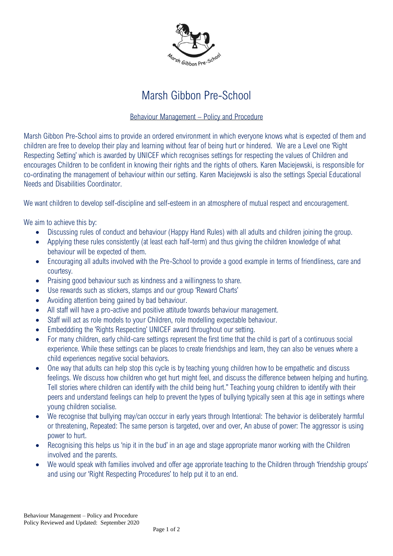

## Marsh Gibbon Pre-School

## Behaviour Management – Policy and Procedure

Marsh Gibbon Pre-School aims to provide an ordered environment in which everyone knows what is expected of them and children are free to develop their play and learning without fear of being hurt or hindered. We are a Level one 'Right Respecting Setting' which is awarded by UNICEF which recognises settings for respecting the values of Children and encourages Children to be confident in knowing their rights and the rights of others. Karen Maciejewski, is responsible for co-ordinating the management of behaviour within our setting. Karen Maciejewski is also the settings Special Educational Needs and Disabilities Coordinator.

We want children to develop self-discipline and self-esteem in an atmosphere of mutual respect and encouragement.

We aim to achieve this by:

- Discussing rules of conduct and behaviour (Happy Hand Rules) with all adults and children joining the group.
- Applying these rules consistently (at least each half-term) and thus giving the children knowledge of what behaviour will be expected of them.
- Encouraging all adults involved with the Pre-School to provide a good example in terms of friendliness, care and courtesy.
- Praising good behaviour such as kindness and a willingness to share.
- Use rewards such as stickers, stamps and our group 'Reward Charts'
- Avoiding attention being gained by bad behaviour.
- All staff will have a pro-active and positive attitude towards behaviour management.
- Staff will act as role models to your Children, role modelling expectable behaviour.
- Embeddding the 'Rights Respecting' UNICEF award throughout our setting.
- For many children, early child-care settings represent the first time that the child is part of a continuous social experience. While these settings can be places to create friendships and learn, they can also be venues where a child experiences negative social behaviors.
- One way that adults can help stop this cycle is by teaching young children how to be empathetic and discuss feelings. We discuss how children who get hurt might feel, and discuss the difference between helping and hurting. Tell stories where children can identify with the child being hurt." Teaching young children to identify with their peers and understand feelings can help to prevent the types of bullying typically seen at this age in settings where young children socialise.
- We recognise that bullying may/can occcur in early years through Intentional: The behavior is deliberately harmful or threatening, Repeated: The same person is targeted, over and over, An abuse of power: The aggressor is using power to hurt.
- Recognising this helps us 'nip it in the bud' in an age and stage appropriate manor working with the Children involved and the parents.
- We would speak with families involved and offer age approriate teaching to the Children through 'friendship groups' and using our 'Right Respecting Procedures' to help put it to an end.